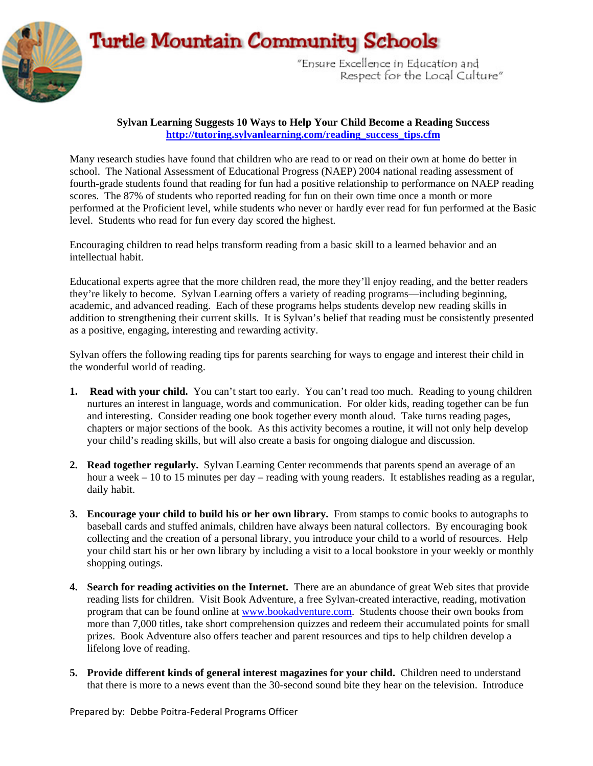## **Turtle Mountain Community Schools**



"Ensure Excellence in Education and Respect for the Local Culture"

## **Sylvan Learning Suggests 10 Ways to Help Your Child Become a Reading Success [http://tutoring.sylvanlearning.com/reading\\_success\\_tips.cfm](http://tutoring.sylvanlearning.com/reading_success_tips.cfm)**

Many research studies have found that children who are read to or read on their own at home do better in school. The National Assessment of Educational Progress (NAEP) 2004 national reading assessment of fourth-grade students found that reading for fun had a positive relationship to performance on NAEP reading scores. The 87% of students who reported reading for fun on their own time once a month or more performed at the Proficient level, while students who never or hardly ever read for fun performed at the Basic level. Students who read for fun every day scored the highest.

Encouraging children to read helps transform reading from a basic skill to a learned behavior and an intellectual habit.

Educational experts agree that the more children read, the more they'll enjoy reading, and the better readers they're likely to become. Sylvan Learning offers a variety of reading programs—including beginning, academic, and advanced reading. Each of these programs helps students develop new reading skills in addition to strengthening their current skills. It is Sylvan's belief that reading must be consistently presented as a positive, engaging, interesting and rewarding activity.

Sylvan offers the following reading tips for parents searching for ways to engage and interest their child in the wonderful world of reading.

- **1. Read with your child.** You can't start too early. You can't read too much. Reading to young children nurtures an interest in language, words and communication. For older kids, reading together can be fun and interesting. Consider reading one book together every month aloud. Take turns reading pages, chapters or major sections of the book. As this activity becomes a routine, it will not only help develop your child's reading skills, but will also create a basis for ongoing dialogue and discussion.
- **2. Read together regularly.** Sylvan Learning Center recommends that parents spend an average of an hour a week – 10 to 15 minutes per day – reading with young readers. It establishes reading as a regular, daily habit.
- **3. Encourage your child to build his or her own library.** From stamps to comic books to autographs to baseball cards and stuffed animals, children have always been natural collectors. By encouraging book collecting and the creation of a personal library, you introduce your child to a world of resources. Help your child start his or her own library by including a visit to a local bookstore in your weekly or monthly shopping outings.
- **4. Search for reading activities on the Internet.** There are an abundance of great Web sites that provide reading lists for children. Visit Book Adventure, a free Sylvan-created interactive, reading, motivation program that can be found online at [www.bookadventure.com](http://www.bookadventure.com/). Students choose their own books from more than 7,000 titles, take short comprehension quizzes and redeem their accumulated points for small prizes. Book Adventure also offers teacher and parent resources and tips to help children develop a lifelong love of reading.
- **5. Provide different kinds of general interest magazines for your child.** Children need to understand that there is more to a news event than the 30-second sound bite they hear on the television. Introduce

Prepared by: Debbe Poitra‐Federal Programs Officer